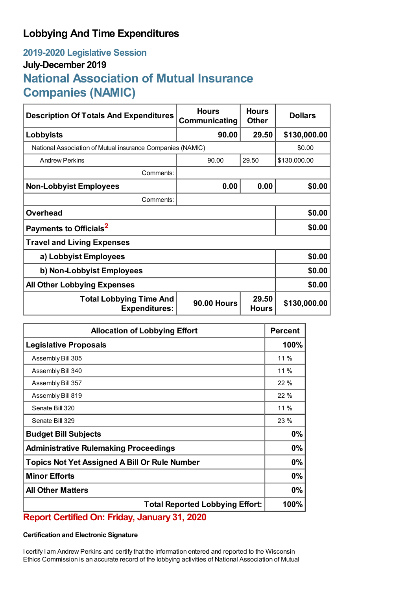## **Lobbying And Time Expenditures**

## **2019-2020 Legislative Session July-December 2019 National Association of Mutual Insurance Companies (NAMIC)**

| <b>Description Of Totals And Expenditures</b>              | <b>Hours</b><br>Communicating | <b>Hours</b><br><b>Other</b> | <b>Dollars</b> |  |
|------------------------------------------------------------|-------------------------------|------------------------------|----------------|--|
| Lobbyists                                                  | 90.00                         | 29.50                        | \$130,000.00   |  |
| National Association of Mutual insurance Companies (NAMIC) |                               |                              | \$0.00         |  |
| <b>Andrew Perkins</b>                                      | 90.00                         | 29.50                        | \$130,000.00   |  |
| Comments:                                                  |                               |                              |                |  |
| <b>Non-Lobbyist Employees</b>                              | 0.00                          | 0.00                         | \$0.00         |  |
| Comments:                                                  |                               |                              |                |  |
| <b>Overhead</b>                                            |                               |                              | \$0.00         |  |
| Payments to Officials <sup>2</sup>                         |                               |                              | \$0.00         |  |
| <b>Travel and Living Expenses</b>                          |                               |                              |                |  |
| a) Lobbyist Employees                                      |                               |                              | \$0.00         |  |
| b) Non-Lobbyist Employees                                  |                               |                              | \$0.00         |  |
| <b>All Other Lobbying Expenses</b>                         |                               |                              | \$0.00         |  |
| <b>Total Lobbying Time And</b><br><b>Expenditures:</b>     | <b>90.00 Hours</b>            | 29.50<br><b>Hours</b>        | \$130,000.00   |  |

| <b>Allocation of Lobbying Effort</b>                 |        |
|------------------------------------------------------|--------|
| <b>Legislative Proposals</b>                         | 100%   |
| Assembly Bill 305                                    | $11\%$ |
| Assembly Bill 340                                    | $11\%$ |
| Assembly Bill 357                                    | 22 %   |
| Assembly Bill 819                                    | 22 %   |
| Senate Bill 320                                      | $11\%$ |
| Senate Bill 329                                      | 23 %   |
| <b>Budget Bill Subjects</b>                          | 0%     |
| <b>Administrative Rulemaking Proceedings</b>         |        |
| <b>Topics Not Yet Assigned A Bill Or Rule Number</b> |        |
| <b>Minor Efforts</b>                                 | 0%     |
| <b>All Other Matters</b>                             | 0%     |
| <b>Total Reported Lobbying Effort:</b>               |        |

**Report Certified On: Friday, January 31, 2020**

## **Certification and Electronic Signature**

I certify I am Andrew Perkins and certify that the information entered and reported to the Wisconsin Ethics Commission is an accurate record of the lobbying activities of National Association of Mutual